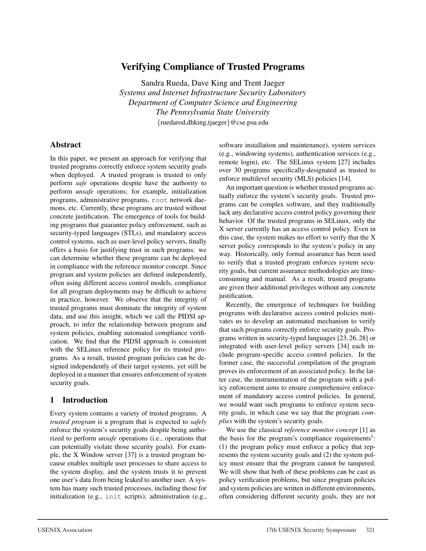# Verifying Compliance of Trusted Programs

Sandra Rueda, Dave King and Trent Jaeger *Systems and Internet Infrastructure Security Laboratory Department of Computer Science and Engineering The Pennsylvania State University* {ruedarod,dhking,tjaeger}@cse.psu.edu

### Abstract

In this paper, we present an approach for verifying that trusted programs correctly enforce system security goals when deployed. A trusted program is trusted to only perform *safe* operations despite have the authority to perform *unsafe* operations; for example, initialization programs, administrative programs, root network daemons, etc. Currently, these programs are trusted without concrete justification. The emergence of tools for building programs that guarantee policy enforcement, such as security-typed languages (STLs), and mandatory access control systems, such as user-level policy servers, finally offers a basis for justifying trust in such programs: we can determine whether these programs can be deployed in compliance with the reference monitor concept. Since program and system policies are defined independently, often using different access control models, compliance for all program deployments may be difficult to achieve in practice, however. We observe that the integrity of trusted programs must dominate the integrity of system data, and use this insight, which we call the PIDSI approach, to infer the relationship between program and system policies, enabling automated compliance verification. We find that the PIDSI approach is consistent with the SELinux reference policy for its trusted programs. As a result, trusted program policies can be designed independently of their target systems, yet still be deployed in a manner that ensures enforcement of system security goals.

# 1 Introduction

Every system contains a variety of trusted programs. A *trusted program* is a program that is expected to *safely* enforce the system's security goals despite being authorized to perform *unsafe* operations (i.e., operations that can potentially violate those security goals). For example, the X Window server [37] is a trusted program because enables multiple user processes to share access to the system display, and the system trusts it to prevent one user's data from being leaked to another user. A system has many such trusted processes, including those for initialization (e.g., init scripts), administration (e.g., software installation and maintenance), system services (e.g., windowing systems), authentication services (e.g., remote login), etc. The SELinux system [27] includes over 30 programs specifically-designated as trusted to enforce multilevel security (MLS) policies [14].

An important question is whether trusted programs actually enforce the system's security goals. Trusted programs can be complex software, and they traditionally lack any declarative access control policy governing their behavior. Of the trusted programs in SELinux, only the X server currently has an access control policy. Even in this case, the system makes no effort to verify that the X server policy corresponds to the system's policy in any way. Historically, only formal assurance has been used to verify that a trusted program enforces system security goals, but current assurance methodologies are timeconsuming and manual. As a result, trusted programs are given their additional privileges without any concrete justification.

Recently, the emergence of techniques for building programs with declarative access control policies motivates us to develop an automated mechanism to verify that such programs correctly enforce security goals. Programs written in security-typed languages [23, 26, 28] or integrated with user-level policy servers [34] each include program-specific access control policies. In the former case, the successful compilation of the program proves its enforcement of an associated policy. In the latter case, the instrumentation of the program with a policy enforcement aims to ensure comprehensive enforcement of mandatory access control policies. In general, we would want such programs to enforce system security goals, in which case we say that the program *complies* with the system's security goals.

We use the classical *reference monitor concept* [1] as the basis for the program's compliance requirements<sup>1</sup>: (1) the program policy must enforce a policy that represents the system security goals and (2) the system policy must ensure that the program cannot be tampered. We will show that both of these problems can be cast as policy verification problems, but since program policies and system policies are written in different environments, often considering different security goals, they are not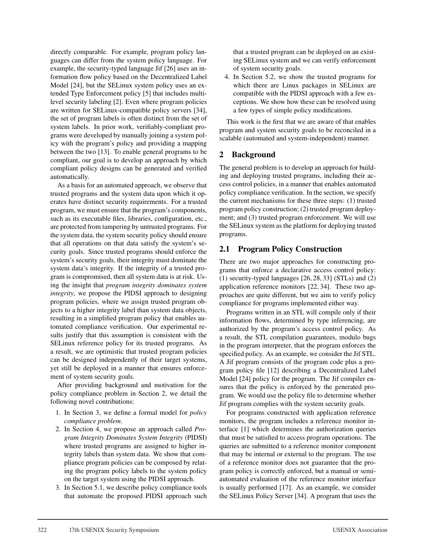directly comparable. For example, program policy languages can differ from the system policy language. For example, the security-typed language Jif [26] uses an information flow policy based on the Decentralized Label Model [24], but the SELinux system policy uses an extended Type Enforcement policy [5] that includes multilevel security labeling [2]. Even where program policies are written for SELinux-compatible policy servers [34], the set of program labels is often distinct from the set of system labels. In prior work, verifiably-compliant programs were developed by manually joining a system policy with the program's policy and providing a mapping between the two [13]. To enable general programs to be compliant, our goal is to develop an approach by which compliant policy designs can be generated and verified automatically.

As a basis for an automated approach, we observe that trusted programs and the system data upon which it operates have distinct security requirements. For a trusted program, we must ensure that the program's components, such as its executable files, libraries, configuration, etc., are protected from tampering by untrusted programs. For the system data, the system security policy should ensure that all operations on that data satisfy the system's security goals. Since trusted programs should enforce the system's security goals, their integrity must dominate the system data's integrity. If the integrity of a trusted program is compromised, then all system data is at risk. Using the insight that *program integrity dominates system integrity*, we propose the PIDSI approach to designing program policies, where we assign trusted program objects to a higher integrity label than system data objects, resulting in a simplified program policy that enables automated compliance verification. Our experimental results justify that this assumption is consistent with the SELinux reference policy for its trusted programs. As a result, we are optimistic that trusted program policies can be designed independently of their target systems, yet still be deployed in a manner that ensures enforcement of system security goals.

After providing background and motivation for the policy compliance problem in Section 2, we detail the following novel contributions:

- 1. In Section 3, we define a formal model for *policy compliance problem*.
- 2. In Section 4, we propose an approach called *Program Integrity Dominates System Integrity* (PIDSI) where trusted programs are assigned to higher integrity labels than system data. We show that compliance program policies can be composed by relating the program policy labels to the system policy on the target system using the PIDSI approach.
- 3. In Section 5.1, we describe policy compliance tools that automate the proposed PIDSI approach such

that a trusted program can be deployed on an existing SELinux system and we can verify enforcement of system security goals.

4. In Section 5.2, we show the trusted programs for which there are Linux packages in SELinux are compatible with the PIDSI approach with a few exceptions. We show how these can be resolved using a few types of simple policy modifications.

This work is the first that we are aware of that enables program and system security goals to be reconciled in a scalable (automated and system-independent) manner.

# 2 Background

The general problem is to develop an approach for building and deploying trusted programs, including their access control policies, in a manner that enables automated policy compliance verification. In the section, we specify the current mechanisms for these three steps: (1) trusted program policy construction; (2) trusted program deployment; and (3) trusted program enforcement. We will use the SELinux system as the platform for deploying trusted programs.

# 2.1 Program Policy Construction

There are two major approaches for constructing programs that enforce a declarative access control policy: (1) security-typed languages [26, 28, 33] (STLs) and (2) application reference monitors [22, 34]. These two approaches are quite different, but we aim to verify policy compliance for programs implemented either way.

Programs written in an STL will compile only if their information flows, determined by type inferencing, are authorized by the program's access control policy. As a result, the STL compilation guarantees, modulo bugs in the program interpreter, that the program enforces the specified policy. As an example, we consider the Jif STL. A Jif program consists of the program code plus a program policy file [12] describing a Decentralized Label Model [24] policy for the program. The Jif compiler ensures that the policy is enforced by the generated program. We would use the policy file to determine whether Jif program complies with the system security goals.

For programs constructed with application reference monitors, the program includes a reference monitor interface [1] which determines the authorization queries that must be satisfied to access program operations. The queries are submitted to a reference monitor component that may be internal or external to the program. The use of a reference monitor does not guarantee that the program policy is correctly enforced, but a manual or semiautomated evaluation of the reference monitor interface is usually performed [17]. As an example, we consider the SELinux Policy Server [34]. A program that uses the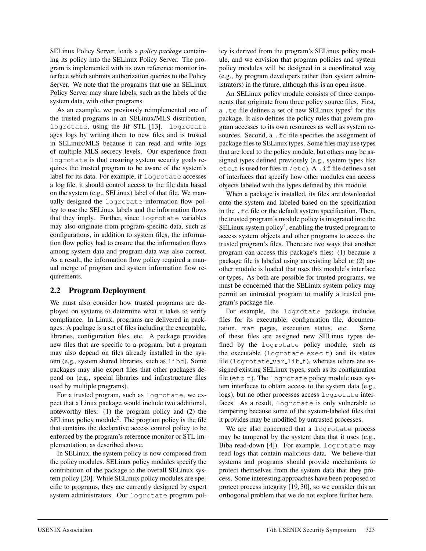SELinux Policy Server, loads a *policy package* containing its policy into the SELinux Policy Server. The program is implemented with its own reference monitor interface which submits authorization queries to the Policy Server. We note that the programs that use an SELinux Policy Server may share labels, such as the labels of the system data, with other programs.

As an example, we previously reimplemented one of the trusted programs in an SELinux/MLS distribution, logrotate, using the Jif STL [13]. logrotate ages logs by writing them to new files and is trusted in SELinux/MLS because it can read and write logs of multiple MLS secrecy levels. Our experience from logrotate is that ensuring system security goals requires the trusted program to be aware of the system's label for its data. For example, if logrotate accesses a log file, it should control access to the file data based on the system (e.g., SELinux) label of that file. We manually designed the logrotate information flow policy to use the SELinux labels and the information flows that they imply. Further, since logrotate variables may also originate from program-specific data, such as configurations, in addition to system files, the information flow policy had to ensure that the information flows among system data and program data was also correct. As a result, the information flow policy required a manual merge of program and system information flow requirements.

# 2.2 Program Deployment

We must also consider how trusted programs are deployed on systems to determine what it takes to verify compliance. In Linux, programs are delivered in packages. A package is a set of files including the executable, libraries, configuration files, etc. A package provides new files that are specific to a program, but a program may also depend on files already installed in the system (e.g., system shared libraries, such as libc). Some packages may also export files that other packages depend on (e.g., special libraries and infrastructure files used by multiple programs).

For a trusted program, such as logrotate, we expect that a Linux package would include two additional, noteworthy files: (1) the program policy and (2) the SELinux policy module<sup>2</sup>. The program policy is the file that contains the declarative access control policy to be enforced by the program's reference monitor or STL implementation, as described above.

In SELinux, the system policy is now composed from the policy modules. SELinux policy modules specify the contribution of the package to the overall SELinux system policy [20]. While SELinux policy modules are specific to programs, they are currently designed by expert system administrators. Our logrotate program policy is derived from the program's SELinux policy module, and we envision that program policies and system policy modules will be designed in a coordinated way (e.g., by program developers rather than system administrators) in the future, although this is an open issue.

An SELinux policy module consists of three components that originate from three policy source files. First, a . te file defines a set of new SELinux types<sup>3</sup> for this package. It also defines the policy rules that govern program accesses to its own resources as well as system resources. Second, a .fc file specifies the assignment of package files to SELinux types. Some files may use types that are local to the policy module, but others may be assigned types defined previously (e.g., system types like etc\_t is used for files in /etc). A . if file defines a set of interfaces that specify how other modules can access objects labeled with the types defined by this module.

When a package is installed, its files are downloaded onto the system and labeled based on the specification in the .fc file or the default system specification. Then, the trusted program's module policy is integrated into the SELinux system policy<sup>4</sup>, enabling the trusted program to access system objects and other programs to access the trusted program's files. There are two ways that another program can access this package's files: (1) because a package file is labeled using an existing label or (2) another module is loaded that uses this module's interface or types. As both are possible for trusted programs, we must be concerned that the SELinux system policy may permit an untrusted program to modify a trusted program's package file.

For example, the logrotate package includes files for its executable, configuration file, documentation, man pages, execution status, etc. Some of these files are assigned new SELinux types defined by the logrotate policy module, such as the executable (logrotate\_exec\_t) and its status file (logrotate\_var\_lib\_t), whereas others are assigned existing SELinux types, such as its configuration file ( $etc_t$ ). The logrotate policy module uses system interfaces to obtain access to the system data (e.g., logs), but no other processes access logrotate interfaces. As a result, logrotate is only vulnerable to tampering because some of the system-labeled files that it provides may be modified by untrusted processes.

We are also concerned that a logrotate process may be tampered by the system data that it uses (e.g., Biba read-down [4]). For example, logrotate may read logs that contain malicious data. We believe that systems and programs should provide mechanisms to protect themselves from the system data that they process. Some interesting approaches have been proposed to protect process integrity [19, 30], so we consider this an orthogonal problem that we do not explore further here.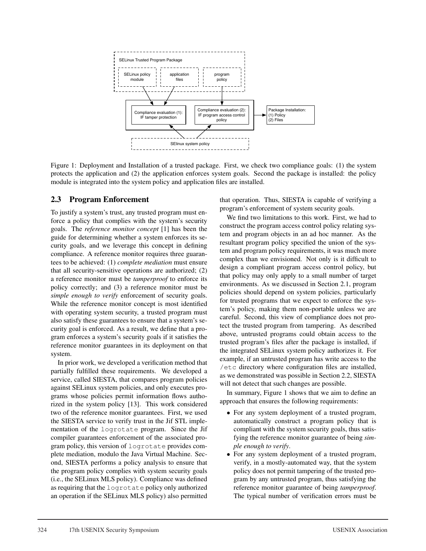

Figure 1: Deployment and Installation of a trusted package. First, we check two compliance goals: (1) the system protects the application and (2) the application enforces system goals. Second the package is installed: the policy module is integrated into the system policy and application files are installed.

### 2.3 Program Enforcement

To justify a system's trust, any trusted program must enforce a policy that complies with the system's security goals. The *reference monitor concept* [1] has been the guide for determining whether a system enforces its security goals, and we leverage this concept in defining compliance. A reference monitor requires three guarantees to be achieved: (1) *complete mediation* must ensure that all security-sensitive operations are authorized; (2) a reference monitor must be *tamperproof* to enforce its policy correctly; and (3) a reference monitor must be *simple enough to verify* enforcement of security goals. While the reference monitor concept is most identified with operating system security, a trusted program must also satisfy these guarantees to ensure that a system's security goal is enforced. As a result, we define that a program enforces a system's security goals if it satisfies the reference monitor guarantees in its deployment on that system.

In prior work, we developed a verification method that partially fulfilled these requirements. We developed a service, called SIESTA, that compares program policies against SELinux system policies, and only executes programs whose policies permit information flows authorized in the system policy [13]. This work considered two of the reference monitor guarantees. First, we used the SIESTA service to verify trust in the Jif STL implementation of the logrotate program. Since the Jif compiler guarantees enforcement of the associated program policy, this version of logrotate provides complete mediation, modulo the Java Virtual Machine. Second, SIESTA performs a policy analysis to ensure that the program policy complies with system security goals (i.e., the SELinux MLS policy). Compliance was defined as requiring that the logrotate policy only authorized an operation if the SELinux MLS policy) also permitted that operation. Thus, SIESTA is capable of verifying a program's enforcement of system security goals.

We find two limitations to this work. First, we had to construct the program access control policy relating system and program objects in an ad hoc manner. As the resultant program policy specified the union of the system and program policy requirements, it was much more complex than we envisioned. Not only is it difficult to design a compliant program access control policy, but that policy may only apply to a small number of target environments. As we discussed in Section 2.1, program policies should depend on system policies, particularly for trusted programs that we expect to enforce the system's policy, making them non-portable unless we are careful. Second, this view of compliance does not protect the trusted program from tampering. As described above, untrusted programs could obtain access to the trusted program's files after the package is installed, if the integrated SELinux system policy authorizes it. For example, if an untrusted program has write access to the /etc directory where configuration files are installed, as we demonstrated was possible in Section 2.2, SIESTA will not detect that such changes are possible.

In summary, Figure 1 shows that we aim to define an approach that ensures the following requirements:

- For any system deployment of a trusted program, automatically construct a program policy that is compliant with the system security goals, thus satisfying the reference monitor guarantee of being *simple enough to verify*.
- For any system deployment of a trusted program, verify, in a mostly-automated way, that the system policy does not permit tampering of the trusted program by any untrusted program, thus satisfying the reference monitor guarantee of being *tamperproof*. The typical number of verification errors must be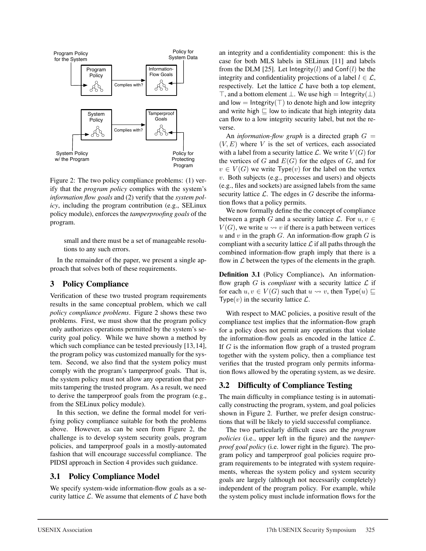

Figure 2: The two policy compliance problems: (1) verify that the *program policy* complies with the system's *information flow goals* and (2) verify that the *system policy*, including the program contribution (e.g., SELinux policy module), enforces the *tamperproofing goals* of the program.

small and there must be a set of manageable resolutions to any such errors.

In the remainder of the paper, we present a single approach that solves both of these requirements.

#### 3 Policy Compliance

Verification of these two trusted program requirements results in the same conceptual problem, which we call *policy compliance problems*. Figure 2 shows these two problems. First, we must show that the program policy only authorizes operations permitted by the system's security goal policy. While we have shown a method by which such compliance can be tested previously [13,14], the program policy was customized manually for the system. Second, we also find that the system policy must comply with the program's tamperproof goals. That is, the system policy must not allow any operation that permits tampering the trusted program. As a result, we need to derive the tamperproof goals from the program (e.g., from the SELinux policy module).

In this section, we define the formal model for verifying policy compliance suitable for both the problems above. However, as can be seen from Figure 2, the challenge is to develop system security goals, program policies, and tamperproof goals in a mostly-automated fashion that will encourage successful compliance. The PIDSI approach in Section 4 provides such guidance.

### 3.1 Policy Compliance Model

We specify system-wide information-flow goals as a security lattice  $\mathcal{L}$ . We assume that elements of  $\mathcal{L}$  have both an integrity and a confidentiality component: this is the case for both MLS labels in SELinux [11] and labels from the DLM [25]. Let Integrity(l) and Conf(l) be the integrity and confidentiality projections of a label  $l \in \mathcal{L}$ , respectively. Let the lattice  $\mathcal L$  have both a top element,  $\top$ , and a bottom element  $\bot$ . We use high = Integrity( $\bot$ ) and low = Integrity( $\top$ ) to denote high and low integrity and write high  $\sqsubseteq$  low to indicate that high integrity data can flow to a low integrity security label, but not the reverse.

An *information-flow graph* is a directed graph  $G =$  $(V, E)$  where V is the set of vertices, each associated with a label from a security lattice  $\mathcal{L}$ . We write  $V(G)$  for the vertices of G and  $E(G)$  for the edges of G, and for  $v \in V(G)$  we write Type(v) for the label on the vertex  $v$ . Both subjects (e.g., processes and users) and objects (e.g., files and sockets) are assigned labels from the same security lattice  $\mathcal{L}$ . The edges in G describe the information flows that a policy permits.

We now formally define the the concept of compliance between a graph G and a security lattice  $\mathcal{L}$ . For  $u, v \in$  $V(G)$ , we write  $u \rightsquigarrow v$  if there is a path between vertices u and v in the graph  $G$ . An information-flow graph  $G$  is compliant with a security lattice  $\mathcal L$  if all paths through the combined information-flow graph imply that there is a flow in  $\mathcal L$  between the types of the elements in the graph.

Definition 3.1 (Policy Compliance). An informationflow graph  $G$  is *compliant* with a security lattice  $\mathcal{L}$  if for each  $u, v \in V(G)$  such that  $u \leadsto v$ , then  $Type(u) \sqsubseteq$ Type $(v)$  in the security lattice  $\mathcal{L}$ .

With respect to MAC policies, a positive result of the compliance test implies that the information-flow graph for a policy does not permit any operations that violate the information-flow goals as encoded in the lattice  $\mathcal{L}$ . If  $G$  is the information flow graph of a trusted program together with the system policy, then a compliance test verifies that the trusted program only permits information flows allowed by the operating system, as we desire.

### 3.2 Difficulty of Compliance Testing

The main difficulty in compliance testing is in automatically constructing the program, system, and goal policies shown in Figure 2. Further, we prefer design constructions that will be likely to yield successful compliance.

The two particularly difficult cases are the *program policies* (i.e., upper left in the figure) and the *tamperproof goal policy* (i.e. lower right in the figure). The program policy and tamperproof goal policies require program requirements to be integrated with system requirements, whereas the system policy and system security goals are largely (although not necessarily completely) independent of the program policy. For example, while the system policy must include information flows for the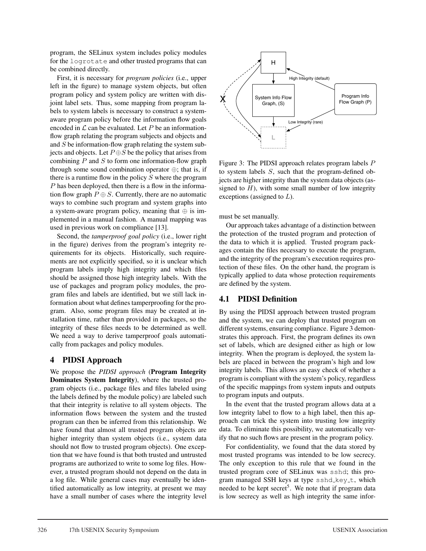program, the SELinux system includes policy modules for the logrotate and other trusted programs that can be combined directly.

First, it is necessary for *program policies* (i.e., upper left in the figure) to manage system objects, but often program policy and system policy are written with disjoint label sets. Thus, some mapping from program labels to system labels is necessary to construct a systemaware program policy before the information flow goals encoded in  $\mathcal L$  can be evaluated. Let P be an informationflow graph relating the program subjects and objects and and  $S$  be information-flow graph relating the system subjects and objects. Let  $P \oplus S$  be the policy that arises from combining  $P$  and  $S$  to form one information-flow graph through some sound combination operator  $\oplus$ ; that is, if there is a runtime flow in the policy  $S$  where the program P has been deployed, then there is a flow in the information flow graph  $P \oplus S$ . Currently, there are no automatic ways to combine such program and system graphs into a system-aware program policy, meaning that  $\oplus$  is implemented in a manual fashion. A manual mapping was used in previous work on compliance [13].

Second, the *tamperproof goal policy* (i.e., lower right in the figure) derives from the program's integrity requirements for its objects. Historically, such requirements are not explicitly specified, so it is unclear which program labels imply high integrity and which files should be assigned those high integrity labels. With the use of packages and program policy modules, the program files and labels are identified, but we still lack information about what defines tamperproofing for the program. Also, some program files may be created at installation time, rather than provided in packages, so the integrity of these files needs to be determined as well. We need a way to derive tamperproof goals automatically from packages and policy modules.

### 4 PIDSI Approach

We propose the *PIDSI approach* (Program Integrity Dominates System Integrity), where the trusted program objects (i.e., package files and files labeled using the labels defined by the module policy) are labeled such that their integrity is relative to all system objects. The information flows between the system and the trusted program can then be inferred from this relationship. We have found that almost all trusted program objects are higher integrity than system objects (i.e., system data should not flow to trusted program objects). One exception that we have found is that both trusted and untrusted programs are authorized to write to some log files. However, a trusted program should not depend on the data in a log file. While general cases may eventually be identified automatically as low integrity, at present we may have a small number of cases where the integrity level



Figure 3: The PIDSI approach relates program labels P to system labels S, such that the program-defined objects are higher integrity than the system data objects (assigned to  $H$ ), with some small number of low integrity exceptions (assigned to  $L$ ).

must be set manually.

Our approach takes advantage of a distinction between the protection of the trusted program and protection of the data to which it is applied. Trusted program packages contain the files necessary to execute the program, and the integrity of the program's execution requires protection of these files. On the other hand, the program is typically applied to data whose protection requirements are defined by the system.

# 4.1 PIDSI Definition

By using the PIDSI approach between trusted program and the system, we can deploy that trusted program on different systems, ensuring compliance. Figure 3 demonstrates this approach. First, the program defines its own set of labels, which are designed either as high or low integrity. When the program is deployed, the system labels are placed in between the program's high and low integrity labels. This allows an easy check of whether a program is compliant with the system's policy, regardless of the specific mappings from system inputs and outputs to program inputs and outputs.

In the event that the trusted program allows data at a low integrity label to flow to a high label, then this approach can trick the system into trusting low integrity data. To eliminate this possibility, we automatically verify that no such flows are present in the program policy.

For confidentiality, we found that the data stored by most trusted programs was intended to be low secrecy. The only exception to this rule that we found in the trusted program core of SELinux was sshd; this program managed SSH keys at type sshd\_key\_t, which needed to be kept secret<sup>5</sup>. We note that if program data is low secrecy as well as high integrity the same infor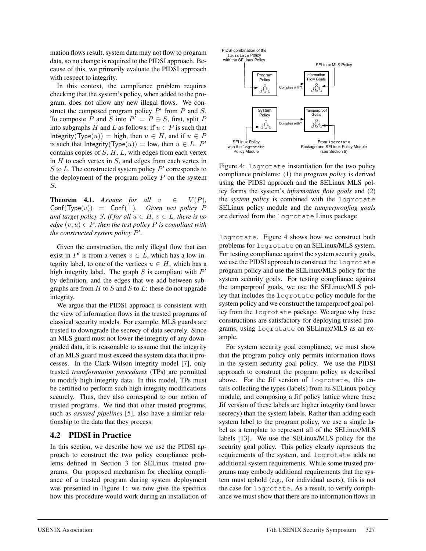mation flows result, system data may not flow to program data, so no change is required to the PIDSI approach. Because of this, we primarily evaluate the PIDSI approach with respect to integrity.

In this context, the compliance problem requires checking that the system's policy, when added to the program, does not allow any new illegal flows. We construct the composed program policy  $P'$  from  $P$  and  $S$ . To composte P and S into  $P' = P \oplus S$ , first, split P into subgraphs H and L as follows: if  $u \in P$  is such that Integrity( $Type(u)$ ) = high, then  $u \in H$ , and if  $u \in P$ is such that Integrity( $Type(u)$ ) = low, then  $u \in L$ . P' contains copies of  $S$ ,  $H$ ,  $L$ , with edges from each vertex in  $H$  to each vertex in  $S$ , and edges from each vertex in S to L. The constructed system policy  $P'$  corresponds to the deployment of the program policy  $P$  on the system S.

**Theorem 4.1.** *Assume for all*  $v \in V(P)$ ,  $Conf(Type(v)) = Conf(\perp)$ . Given test policy P *and target policy* S, if for all  $u \in H$ ,  $v \in L$ , there is no *edge*  $(v, u) \in P$ *, then the test policy* P *is compliant with the constructed system policy* P *.*

Given the construction, the only illegal flow that can exist in P' is from a vertex  $v \in L$ , which has a low integrity label, to one of the vertices  $u \in H$ , which has a high integrity label. The graph  $S$  is compliant with  $P'$ by definition, and the edges that we add between subgraphs are from  $H$  to  $S$  and  $S$  to  $L$ : these do not upgrade integrity.

We argue that the PIDSI approach is consistent with the view of information flows in the trusted programs of classical security models. For example, MLS guards are trusted to downgrade the secrecy of data securely. Since an MLS guard must not lower the integrity of any downgraded data, it is reasonable to assume that the integrity of an MLS guard must exceed the system data that it processes. In the Clark-Wilson integrity model [7], only trusted *transformation procedures* (TPs) are permitted to modify high integrity data. In this model, TPs must be certified to perform such high integrity modifications securely. Thus, they also correspond to our notion of trusted programs. We find that other trusted programs, such as *assured pipelines* [5], also have a similar relationship to the data that they process.

### 4.2 PIDSI in Practice

In this section, we describe how we use the PIDSI approach to construct the two policy compliance problems defined in Section 3 for SELinux trusted programs. Our proposed mechanism for checking compliance of a trusted program during system deployment was presented in Figure 1: we now give the specifics how this procedure would work during an installation of



Figure 4: logrotate instantiation for the two policy compliance problems: (1) the *program policy* is derived using the PIDSI approach and the SELinux MLS policy forms the system's *information flow goals* and (2) the *system policy* is combined with the logrotate SELinux policy module and the *tamperproofing goals* are derived from the logrotate Linux package.

logrotate. Figure 4 shows how we construct both problems for logrotate on an SELinux/MLS system. For testing compliance against the system security goals, we use the PIDSI approach to construct the logrotate program policy and use the SELinux/MLS policy for the system security goals. For testing compliance against the tamperproof goals, we use the SELinux/MLS policy that includes the logrotate policy module for the system policy and we construct the tamperproof goal policy from the logrotate package. We argue why these constructions are satisfactory for deploying trusted programs, using logrotate on SELinux/MLS as an example.

For system security goal compliance, we must show that the program policy only permits information flows in the system security goal policy. We use the PIDSI approach to construct the program policy as described above. For the Jif version of logrotate, this entails collecting the types (labels) from its SELinux policy module, and composing a Jif policy lattice where these Jif version of these labels are higher integrity (and lower secrecy) than the system labels. Rather than adding each system label to the program policy, we use a single label as a template to represent all of the SELinux/MLS labels [13]. We use the SELinux/MLS policy for the security goal policy. This policy clearly represents the requirements of the system, and logrotate adds no additional system requirements. While some trusted programs may embody additional requirements that the system must uphold (e.g., for individual users), this is not the case for logrotate. As a result, to verify compliance we must show that there are no information flows in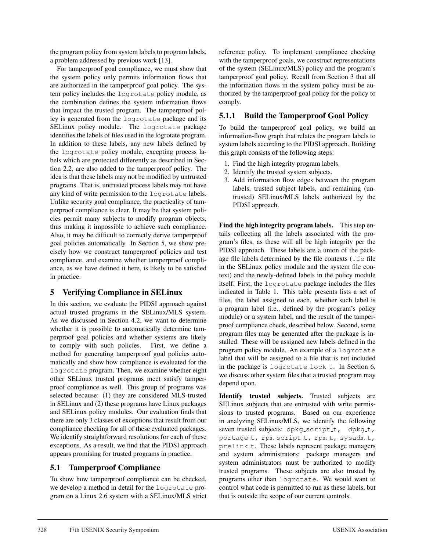the program policy from system labels to program labels, a problem addressed by previous work [13].

For tamperproof goal compliance, we must show that the system policy only permits information flows that are authorized in the tamperproof goal policy. The system policy includes the logrotate policy module, as the combination defines the system information flows that impact the trusted program. The tamperproof policy is generated from the logrotate package and its SELinux policy module. The logrotate package identifies the labels of files used in the logrotate program. In addition to these labels, any new labels defined by the logrotate policy module, excepting process labels which are protected differently as described in Section 2.2, are also added to the tamperproof policy. The idea is that these labels may not be modified by untrusted programs. That is, untrusted process labels may not have any kind of write permission to the logrotate labels. Unlike security goal compliance, the practicality of tamperproof compliance is clear. It may be that system policies permit many subjects to modify program objects, thus making it impossible to achieve such compliance. Also, it may be difficult to correctly derive tamperproof goal policies automatically. In Section 5, we show precisely how we construct tamperproof policies and test compliance, and examine whether tamperproof compliance, as we have defined it here, is likely to be satisfied in practice.

### 5 Verifying Compliance in SELinux

In this section, we evaluate the PIDSI approach against actual trusted programs in the SELinux/MLS system. As we discussed in Section 4.2, we want to determine whether it is possible to automatically determine tamperproof goal policies and whether systems are likely to comply with such policies. First, we define a method for generating tamperproof goal policies automatically and show how compliance is evaluated for the logrotate program. Then, we examine whether eight other SELinux trusted programs meet satisfy tamperproof compliance as well. This group of programs was selected because: (1) they are considered MLS-trusted in SELinux and (2) these programs have Linux packages and SELinux policy modules. Our evaluation finds that there are only 3 classes of exceptions that result from our compliance checking for all of these evaluated packages. We identify straightforward resolutions for each of these exceptions. As a result, we find that the PIDSI approach appears promising for trusted programs in practice.

### 5.1 Tamperproof Compliance

To show how tamperproof compliance can be checked, we develop a method in detail for the logrotate program on a Linux 2.6 system with a SELinux/MLS strict reference policy. To implement compliance checking with the tamperproof goals, we construct representations of the system (SELinux/MLS) policy and the program's tamperproof goal policy. Recall from Section 3 that all the information flows in the system policy must be authorized by the tamperproof goal policy for the policy to comply.

### 5.1.1 Build the Tamperproof Goal Policy

To build the tamperproof goal policy, we build an information-flow graph that relates the program labels to system labels according to the PIDSI approach. Building this graph consists of the following steps:

- 1. Find the high integrity program labels.
- 2. Identify the trusted system subjects.
- 3. Add information flow edges between the program labels, trusted subject labels, and remaining (untrusted) SELinux/MLS labels authorized by the PIDSI approach.

Find the high integrity program labels. This step entails collecting all the labels associated with the program's files, as these will all be high integrity per the PIDSI approach. These labels are a union of the package file labels determined by the file contexts (.fc file in the SELinux policy module and the system file context) and the newly-defined labels in the policy module itself. First, the logrotate package includes the files indicated in Table 1. This table presents lists a set of files, the label assigned to each, whether such label is a program label (i.e., defined by the program's policy module) or a system label, and the result of the tamperproof compliance check, described below. Second, some program files may be generated after the package is installed. These will be assigned new labels defined in the program policy module. An example of a logrotate label that will be assigned to a file that is not included in the package is logrotate\_lock\_t. In Section 6, we discuss other system files that a trusted program may depend upon.

Identify trusted subjects. Trusted subjects are SELinux subjects that are entrusted with write permissions to trusted programs. Based on our experience in analyzing SELinux/MLS, we identify the following seven trusted subjects: dpkg\_script\_t, dpkg\_t, portage\_t, rpm\_script\_t, rpm\_t, sysadm\_t, prelink<sub>t</sub>. These labels represent package managers and system administrators; package managers and system administrators must be authorized to modify trusted programs. These subjects are also trusted by programs other than logrotate. We would want to control what code is permitted to run as these labels, but that is outside the scope of our current controls.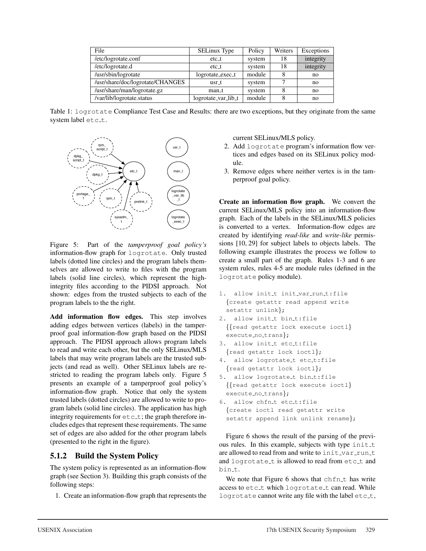| File                             | <b>SELinux Type</b> | Policy | Writers | Exceptions |
|----------------------------------|---------------------|--------|---------|------------|
| /etc/logrotate.conf              | $etc_1$<br>system   |        | 18      | integrity  |
| /etc/logrotate.d                 | etc <sub>1</sub>    | system |         | integrity  |
| /usr/sbin/logrotate              | logrotate_exec_t    | module |         | no         |
| /usr/share/doc/logrotate/CHANGES | usr t               | system |         | no         |
| /usr/share/man/logrotate.gz      | man_t               | system |         | no         |
| /var/lib/logrotate.status        | logrotate_var_lib_t | module |         | no         |

Table 1: logrotate Compliance Test Case and Results: there are two exceptions, but they originate from the same system label etc\_t.



Figure 5: Part of the *tamperproof goal policy's* information-flow graph for logrotate. Only trusted labels (dotted line circles) and the program labels themselves are allowed to write to files with the program labels (solid line circles), which represent the highintegrity files according to the PIDSI approach. Not shown: edges from the trusted subjects to each of the program labels to the the right.

Add information flow edges. This step involves adding edges between vertices (labels) in the tamperproof goal information-flow graph based on the PIDSI approach. The PIDSI approach allows program labels to read and write each other, but the only SELinux/MLS labels that may write program labels are the trusted subjects (and read as well). Other SELinux labels are restricted to reading the program labels only. Figure 5 presents an example of a tamperproof goal policy's information-flow graph. Notice that only the system trusted labels (dotted circles) are allowed to write to program labels (solid line circles). The application has high integrity requirements for  $etc.t$ ; the graph therefore includes edges that represent these requirements. The same set of edges are also added for the other program labels (presented to the right in the figure).

### 5.1.2 Build the System Policy

The system policy is represented as an information-flow graph (see Section 3). Building this graph consists of the following steps:

1. Create an information-flow graph that represents the

current SELinux/MLS policy.

- 2. Add logrotate program's information flow vertices and edges based on its SELinux policy module.
- 3. Remove edges where neither vertex is in the tamperproof goal policy.

Create an information flow graph. We convert the current SELinux/MLS policy into an information-flow graph. Each of the labels in the SELinux/MLS policies is converted to a vertex. Information-flow edges are created by identifying *read-like* and *write-like* permissions [10, 29] for subject labels to objects labels. The following example illustrates the process we follow to create a small part of the graph. Rules 1-3 and 6 are system rules, rules 4-5 are module rules (defined in the logrotate policy module).

- 1. allow init\_t init\_var\_run\_t:file {create getattr read append write setattr unlink};
- 2. allow init\_t bin\_t:file {{read getattr lock execute ioctl} execute\_no\_trans};
- 3. allow init\_t etc\_t:file {read getattr lock ioctl};
- 4. allow logrotate\_t etc\_t:file {read getattr lock ioctl};
- 5. allow logrotate\_t bin\_t:file {{read getattr lock execute ioctl} execute\_no\_trans};
- 6. allow chfn\_t etc\_t:file {create ioctl read getattr write setattr append link unlink rename};

Figure 6 shows the result of the parsing of the previous rules. In this example, subjects with type  $init\_t$ are allowed to read from and write to init var runt and logrotate t is allowed to read from etc t and bin\_t.

We note that Figure  $6$  shows that  $chfn_t$  has write access to etc\_t which logrotate\_t can read. While logrotate cannot write any file with the label etc.t,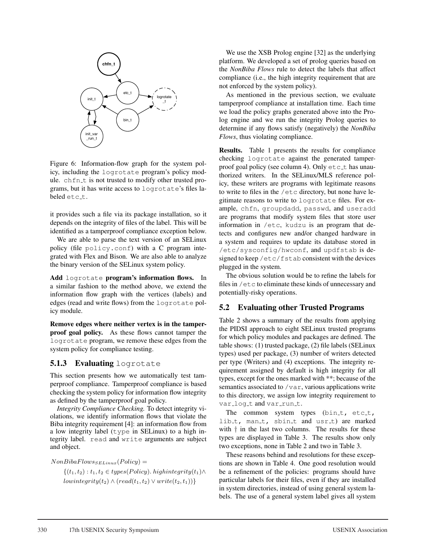

Figure 6: Information-flow graph for the system policy, including the logrotate program's policy module. chfn\_t is not trusted to modify other trusted programs, but it has write access to logrotate's files labeled etc\_t.

it provides such a file via its package installation, so it depends on the integrity of files of the label. This will be identified as a tamperproof compliance exception below.

We are able to parse the text version of an SELinux policy (file policy.conf) with a C program integrated with Flex and Bison. We are also able to analyze the binary version of the SELinux system policy.

Add logrotate program's information flows. In a similar fashion to the method above, we extend the information flow graph with the vertices (labels) and edges (read and write flows) from the logrotate policy module.

Remove edges where neither vertex is in the tamperproof goal policy. As these flows cannot tamper the logrotate program, we remove these edges from the system policy for compliance testing.

# **5.1.3 Evaluating** logrotate

This section presents how we automatically test tamperproof compliance. Tamperproof compliance is based checking the system policy for information flow integrity as defined by the tamperproof goal policy.

*Integrity Compliance Checking.* To detect integrity violations, we identify information flows that violate the Biba integrity requirement [4]: an information flow from a low integrity label  $(type$  in SELinux) to a high integrity label. read and write arguments are subject and object.

 $NonBibaFlows_{SELinux}(Policy) =$ 

 $\{(t_1, t_2) : t_1, t_2 \in types(Policy).$  highintegrity $(t_1) \wedge$  $low integrity(t_2) \wedge (read(t_1, t_2) \vee write(t_2, t_1))\}$ 

We use the XSB Prolog engine [32] as the underlying platform. We developed a set of prolog queries based on the *NonBiba Flows* rule to detect the labels that affect compliance (i.e., the high integrity requirement that are not enforced by the system policy).

As mentioned in the previous section, we evaluate tamperproof compliance at installation time. Each time we load the policy graphs generated above into the Prolog engine and we run the integrity Prolog queries to determine if any flows satisfy (negatively) the *NonBiba Flows*, thus violating compliance.

Results. Table 1 presents the results for compliance checking logrotate against the generated tamperproof goal policy (see column 4). Only  $etc_t$  has unauthorized writers. In the SELinux/MLS reference policy, these writers are programs with legitimate reasons to write to files in the /etc directory, but none have legitimate reasons to write to logrotate files. For example, chfn, groupdadd, passwd, and useradd are programs that modify system files that store user information in /etc, kudzu is an program that detects and configures new and/or changed hardware in a system and requires to update its database stored in /etc/sysconfig/hwconf, and updfstab is designed to keep /etc/fstab consistent with the devices plugged in the system.

The obvious solution would be to refine the labels for files in /etc to eliminate these kinds of unnecessary and potentially-risky operations.

### 5.2 Evaluating other Trusted Programs

Table 2 shows a summary of the results from applying the PIDSI approach to eight SELinux trusted programs for which policy modules and packages are defined. The table shows: (1) trusted package, (2) file labels (SELinux types) used per package, (3) number of writers detected per type (Writers) and (4) exceptions. The integrity requirement assigned by default is high integrity for all types, except for the ones marked with \*\*; because of the semantics associated to /var, various applications write to this directory, we assign low integrity requirement to var\_log\_t and var\_run\_t.

The common system types  $(bin_t, etc_t,$ lib<sub>-t</sub>, man<sub>-t</sub>, sbin<sub>-t</sub> and usr<sub>-t</sub>) are marked with  $\dagger$  in the last two columns. The results for these types are displayed in Table 3. The results show only two exceptions, none in Table 2 and two in Table 3.

These reasons behind and resolutions for these exceptions are shown in Table 4. One good resolution would be a refinement of the policies: programs should have particular labels for their files, even if they are installed in system directories, instead of using general system labels. The use of a general system label gives all system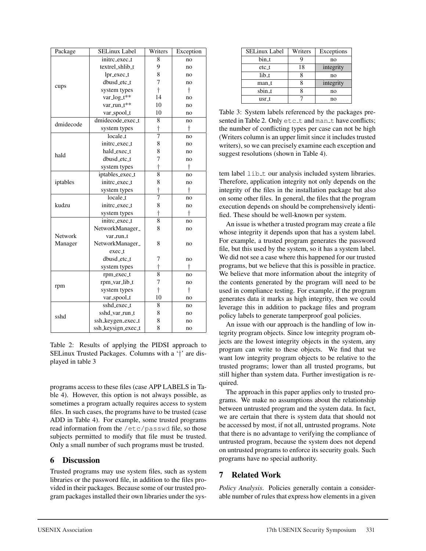| Package   | <b>SELinux Label</b> | Writers        | Exception |
|-----------|----------------------|----------------|-----------|
|           | initrc_exec_t        | 8              | no        |
|           | textrel_shlib_t      | 9              | no        |
|           | $lpr\_exec_t$        | 8              | no        |
|           | dbusd_etc_t          | 7              | no        |
| cups      | system types         | $\dagger$      | $\dagger$ |
|           | var_log_t**          | 14             | no        |
|           | var_run_t**          | 10             | no        |
|           | var_spool_t          | 10             | no        |
| dmidecode | dmidecode_exec_t     | 8              | no        |
|           | system types         | $\dagger$      | t         |
|           | locale_t             | $\overline{7}$ | no        |
|           | initrc_exec_t        | 8              | no        |
| hald      | hald_exec_t          | 8              | no        |
|           | dbusd_etc_t          | 7              | no        |
|           | system types         | $\dagger$      | $\dagger$ |
|           | iptables_exec_t      | $\overline{8}$ | no        |
| iptables  | initrc_exec_t        | 8              | no        |
|           | system types         | $\dagger$      | $\dagger$ |
|           | locale_t             | 7              | no        |
| kudzu     | initrc_exec_t        | 8              | no        |
|           | system types         | $\dagger$      | t         |
|           | initre_exec_t        | $\overline{8}$ | no        |
|           | NetworkManager_      | 8              | no        |
| Network   | var_run_t            |                |           |
| Manager   | NetworkManager_      | 8              | no        |
|           | exec_t               |                |           |
|           | dbusd_etc_t          | 7              | no        |
|           | system types         | $\dagger$      | t         |
|           | rpm_exec_t           | $\overline{8}$ | no        |
| rpm       | rpm_var_lib_t        | 7              | no        |
|           | system types         | $\dagger$      | $\dagger$ |
|           | var_spool_t          | 10             | no        |
|           | sshd_exec_t          | 8              | no        |
| sshd      | sshd_var_run_t       | 8              | no        |
|           | ssh_keygen_exec_t    | 8              | no        |
|           | ssh_keysign_exec_t   | 8              | no        |

Table 2: Results of applying the PIDSI approach to SELinux Trusted Packages. Columns with a '†' are displayed in table 3

programs access to these files (case APP LABELS in Table 4). However, this option is not always possible, as sometimes a program actually requires access to system files. In such cases, the programs have to be trusted (case ADD in Table 4). For example, some trusted programs read information from the /etc/passwd file, so those subjects permitted to modify that file must be trusted. Only a small number of such programs must be trusted.

### 6 Discussion

Trusted programs may use system files, such as system libraries or the password file, in addition to the files provided in their packages. Because some of our trusted program packages installed their own libraries under the sys-

| SELinux Label | Writers | Exceptions |
|---------------|---------|------------|
| bin_t         |         | no         |
| $etc-t$       | 18      | integrity  |
| $lib_t$       |         | no         |
| man_t         |         | integrity  |
| sbin_t        |         | no         |
| usr_t         |         | no         |

Table 3: System labels referenced by the packages presented in Table 2. Only etc\_t and man\_t have conflicts; the number of conflicting types per case can not be high (Writers column is an upper limit since it includes trusted writers), so we can precisely examine each exception and suggest resolutions (shown in Table 4).

tem label lib<sub>-t</sub> our analysis included system libraries. Therefore, application integrity not only depends on the integrity of the files in the installation package but also on some other files. In general, the files that the program execution depends on should be comprehensively identified. These should be well-known per system.

An issue is whether a trusted program may create a file whose integrity it depends upon that has a system label. For example, a trusted program generates the password file, but this used by the system, so it has a system label. We did not see a case where this happened for our trusted programs, but we believe that this is possible in practice. We believe that more information about the integrity of the contents generated by the program will need to be used in compliance testing. For example, if the program generates data it marks as high integrity, then we could leverage this in addition to package files and program policy labels to generate tamperproof goal policies.

An issue with our approach is the handling of low integrity program objects. Since low integrity program objects are the lowest integrity objects in the system, any program can write to these objects. We find that we want low integrity program objects to be relative to the trusted programs; lower than all trusted programs, but still higher than system data. Further investigation is required.

The approach in this paper applies only to trusted programs. We make no assumptions about the relationship between untrusted program and the system data. In fact, we are certain that there is system data that should not be accessed by most, if not all, untrusted programs. Note that there is no advantage to verifying the compliance of untrusted program, because the system does not depend on untrusted programs to enforce its security goals. Such programs have no special authority.

# 7 Related Work

*Policy Analysis*. Policies generally contain a considerable number of rules that express how elements in a given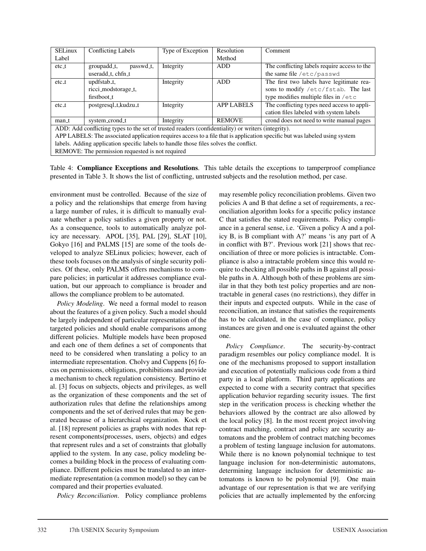| <b>SELinux</b>                                                                                                         | <b>Conflicting Labels</b> | Type of Exception | Resolution        | Comment                                       |  |
|------------------------------------------------------------------------------------------------------------------------|---------------------------|-------------------|-------------------|-----------------------------------------------|--|
| Label                                                                                                                  |                           |                   | Method            |                                               |  |
| $etc_t$                                                                                                                | groupadd_t,<br>passwd_t,  | Integrity         | ADD.              | The conflicting labels require access to the  |  |
|                                                                                                                        | useradd_t, chfn_t         |                   |                   | the same file /etc/passwd                     |  |
| $etc_t$                                                                                                                | updfstab_t,               | Integrity         | ADD               | The first two labels have legitimate rea-     |  |
|                                                                                                                        | ricci_modstorage_t,       |                   |                   | sons to modify /etc/fstab. The last           |  |
|                                                                                                                        | firstboot_t               |                   |                   | type modifies multiple files in $/\text{etc}$ |  |
| $etc_t$                                                                                                                | postgresql_t,kudzu_t      | Integrity         | <b>APP LABELS</b> | The conflicting types need access to appli-   |  |
|                                                                                                                        |                           |                   |                   | cation files labeled with system labels       |  |
| man_t                                                                                                                  | system_crond_t            | Integrity         | <b>REMOVE</b>     | crond does not need to write manual pages     |  |
| ADD: Add conflicting types to the set of trusted readers (confidentiality) or writers (integrity).                     |                           |                   |                   |                                               |  |
| ADDI ADEI C. The essecuted employeen requires access to a file that is employeen greetfic but wes labeled using system |                           |                   |                   |                                               |  |

APP LABELS: The associated application requires access to a file that is application specific but was labeled using system labels. Adding application specific labels to handle those files solves the conflict.

REMOVE: The permission requested is not required

Table 4: Compliance Exceptions and Resolutions. This table details the exceptions to tamperproof compliance presented in Table 3. It shows the list of conflicting, untrusted subjects and the resolution method, per case.

environment must be controlled. Because of the size of a policy and the relationships that emerge from having a large number of rules, it is difficult to manually evaluate whether a policy satisfies a given property or not. As a consequence, tools to automatically analyze policy are necessary. APOL [35], PAL [29], SLAT [10], Gokyo [16] and PALMS [15] are some of the tools developed to analyze SELinux policies; however, each of these tools focuses on the analysis of single security policies. Of these, only PALMS offers mechanisms to compare policies; in particular it addresses compliance evaluation, but our approach to compliance is broader and allows the compliance problem to be automated.

*Policy Modeling*. We need a formal model to reason about the features of a given policy. Such a model should be largely independent of particular representation of the targeted policies and should enable comparisons among different policies. Multiple models have been proposed and each one of them defines a set of components that need to be considered when translating a policy to an intermediate representation. Cholvy and Cuppens [6] focus on permissions, obligations, prohibitions and provide a mechanism to check regulation consistency. Bertino et al. [3] focus on subjects, objects and privileges, as well as the organization of these components and the set of authorization rules that define the relationships among components and the set of derived rules that may be generated because of a hierarchical organization. Kock et al. [18] represent policies as graphs with nodes that represent components(processes, users, objects) and edges that represent rules and a set of constraints that globally applied to the system. In any case, policy modeling becomes a building block in the process of evaluating compliance. Different policies must be translated to an intermediate representation (a common model) so they can be compared and their properties evaluated.

*Policy Reconciliation*. Policy compliance problems

may resemble policy reconciliation problems. Given two policies A and B that define a set of requirements, a reconciliation algorithm looks for a specific policy instance C that satisfies the stated requirements. Policy compliance in a general sense, i.e. 'Given a policy A and a policy B, is B compliant with A?' means 'is any part of A in conflict with B?'. Previous work [21] shows that reconciliation of three or more policies is intractable. Compliance is also a intractable problem since this would require to checking all possible paths in B against all possible paths in A. Although both of these problems are similar in that they both test policy properties and are nontractable in general cases (no restrictions), they differ in their inputs and expected outputs. While in the case of reconciliation, an instance that satisfies the requirements has to be calculated, in the case of compliance, policy instances are given and one is evaluated against the other one.

*Policy Compliance*. The security-by-contract paradigm resembles our policy compliance model. It is one of the mechanisms proposed to support installation and execution of potentially malicious code from a third party in a local platform. Third party applications are expected to come with a security contract that specifies application behavior regarding security issues. The first step in the verification process is checking whether the behaviors allowed by the contract are also allowed by the local policy [8]. In the most recent project involving contract matching, contract and policy are security automatons and the problem of contract matching becomes a problem of testing language inclusion for automatons. While there is no known polynomial technique to test language inclusion for non-deterministic automatons, determining language inclusion for deterministic automatons is known to be polynomial [9]. One main advantage of our representation is that we are verifying policies that are actually implemented by the enforcing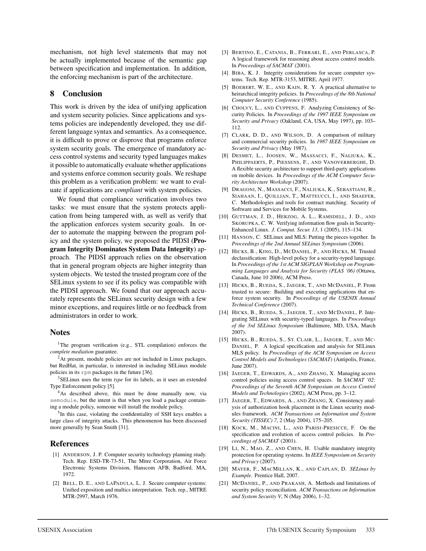mechanism, not high level statements that may not be actually implemented because of the semantic gap between specification and implementation. In addition, the enforcing mechanism is part of the architecture.

#### 8 Conclusion

This work is driven by the idea of unifying application and system security policies. Since applications and systems policies are independently developed, they use different language syntax and semantics. As a consequence, it is difficult to prove or disprove that programs enforce system security goals. The emergence of mandatory access control systems and security typed languages makes it possible to automatically evaluate whether applications and systems enforce common security goals. We reshape this problem as a verification problem: we want to evaluate if applications are *compliant* with system policies.

We found that compliance verification involves two tasks: we must ensure that the system protects application from being tampered with, as well as verify that the application enforces system security goals. In order to automate the mapping between the program policy and the system policy, we proposed the PIDSI (Program Integrity Dominates System Data Integrity) approach. The PIDSI approach relies on the observation that in general program objects are higher integrity than system objects. We tested the trusted program core of the SELinux system to see if its policy was compatible with the PIDSI approach. We found that our approach accurately represents the SELinux security design with a few minor exceptions, and requires little or no feedback from administrators in order to work.

#### **Notes**

<sup>1</sup>The program verification (e.g., STL compilation) enforces the *complete mediation* guarantee.

<sup>2</sup>At present, module policies are not included in Linux packages, but RedHat, in particular, is interested in including SELinux module policies in its rpm packages in the future [36].

3SELinux uses the term *type* for its labels, as it uses an extended Type Enforcement policy [5].

<sup>4</sup>As described above, this must be done manually now, via semodule, but the intent is that when you load a package containing a module policy, someone will install the module policy.

5In this case, violating the confidentiality of SSH keys enables a large class of integrity attacks. This phenomenon has been discussed more generally by Sean Smith [31].

### References

- [1] ANDERSON, J. P. Computer security technology planning study. Tech. Rep. ESD-TR-73-51, The Mitre Corporation, Air Force Electronic Systems Division, Hanscom AFB, Badford, MA, 1972.
- [2] BELL, D. E., AND LAPADULA, L. J. Secure computer systems: Unified exposition and multics interpretation. Tech. rep., MITRE MTR-2997, March 1976.
- [3] BERTINO, E., CATANIA, B., FERRARI, E., AND PERLASCA, P. A logical framework for reasoning about access control models. In *Proceedings of SACMAT* (2001).
- [4] BIBA, K. J. Integrity considerations for secure computer systems. Tech. Rep. MTR-3153, MITRE, April 1977.
- [5] BOEBERT, W. E., AND KAIN, R. Y. A practical alternative to heirarchical integrity policies. In *Proceedings of the 8th National Computer Security Conference* (1985).
- [6] CHOLVY, L., AND CUPPENS, F. Analyzing Consistency of Security Policies. In *Proceedings of the 1997 IEEE Symposium on Security and Privacy* (Oakland, CA, USA, May 1997), pp. 103– 112.
- [7] CLARK, D. D., AND WILSON, D. A comparison of military and commercial security policies. In *1987 IEEE Symposium on Security and Privacy* (May 1987).
- [8] DESMET, L., JOOSEN, W., MASSACCI, F., NALIUKA, K., PHILIPPAERTS, P., PIESSENS, F., AND VANOVERBERGHE, D. A flexible security architecture to support third-party applications on mobile devices. In *Proceedings of the ACM Computer Security Architecture Workshop* (2007).
- [9] DRAGONI, N., MASSACCI, F., NALIUKA, K., SEBASTIANI, R., SIAHAAN, I., QUILLIAN, T., MATTEUCCI, I., AND SHAEFER, C. Methodologies and tools for contract matching. Security of Software and Services for Mobile Systems.
- [10] GUTTMAN, J. D., HERZOG, A. L., RAMSDELL, J. D., AND SKORUPKA, C. W. Verifying information flow goals in Security-Enhanced Linux. *J. Comput. Secur. 13*, 1 (2005), 115–134.
- [11] HANSON, C. SELinux and MLS: Putting the pieces together. In *Proceedings of the 2nd Annual SELinux Symposium* (2006).
- [12] HICKS, B., KING, D., MCDANIEL, P., AND HICKS, M. Trusted declassification: High-level policy for a security-typed language. In *Proceedings of the 1st ACM SIGPLAN Workshop on Programming Languages and Analysis for Security (PLAS '06)* (Ottawa, Canada, June 10 2006), ACM Press.
- [13] HICKS, B., RUEDA, S., JAEGER, T., AND MCDANIEL, P. From trusted to secure: Building and executing applications that enforce system security. In *Proceedings of the USENIX Annual Technical Conference* (2007).
- [14] HICKS, B., RUEDA, S., JAEGER, T., AND MCDANIEL, P. Integrating SELinux with security-typed languages. In *Proceedings of the 3rd SELinux Symposium* (Baltimore, MD, USA, March 2007).
- [15] HICKS, B., RUEDA, S., ST. CLAIR, L., JAEGER, T., AND MC-DANIEL, P. A logical specification and analysis for SELinux MLS policy. In *Proceedings of the ACM Symposium on Access Control Models and Technologies (SACMAT)* (Antipolis, France, June 2007).
- [16] JAEGER, T., EDWARDS, A., AND ZHANG, X. Managing access control policies using access control spaces. In *SACMAT '02: Proceedings of the Seventh ACM Symposium on Access Control Models and Technologies* (2002), ACM Press, pp. 3–12.
- [17] JAEGER, T., EDWARDS, A., AND ZHANG, X. Consistency analysis of authorization hook placement in the Linux security modules framework. *ACM Transactions on Information and System Security (TISSEC) 7*, 2 (May 2004), 175–205.
- [18] KOCK, M., MACINI, L., AND PARISI-PRESICCE, F. On the specification and evolution of access control policies. In *Proceedings of SACMAT* (2001).
- [19] LI, N., MAO, Z., AND CHEN, H. Usable mandatory integrity protection for operating systems. In *IEEE Symposium on Security and Privacy* (2007).
- [20] MAYER, F., MACMILLAN, K., AND CAPLAN, D. *SELinux by Example*. Prentice Hall, 2007.
- [21] MCDANIEL, P., AND PRAKASH, A. Methods and limitations of security policy reconciliation. *ACM Transactions on Information and System Security V*, N (May 2006), 1–32.